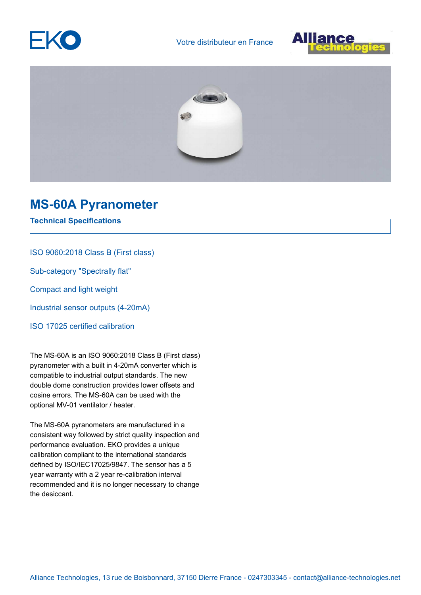





## **MS-60A Pyranometer**

**Technical Specifications**

## ISO 9060:2018 Class B (First class)

Sub-category "Spectrally flat"

Compact and light weight

Industrial sensor outputs (4-20mA)

ISO 17025 certified calibration

The MS-60A is an ISO 9060:2018 Class B (First class) pyranometer with a built in 4-20mA converter which is compatible to industrial output standards. The new double dome construction provides lower offsets and cosine errors. The MS-60A can be used with the optional MV-01 ventilator / heater.

The MS-60A pyranometers are manufactured in a consistent way followed by strict quality inspection and performance evaluation. EKO provides a unique calibration compliant to the international standards defined by ISO/IEC17025/9847. The sensor has a 5 year warranty with a 2 year re-calibration interval recommended and it is no longer necessary to change the desiccant.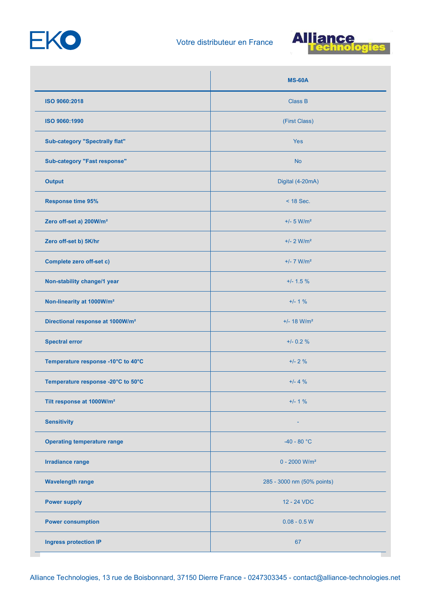



|                                              | <b>MS-60A</b>               |
|----------------------------------------------|-----------------------------|
| ISO 9060:2018                                | Class B                     |
| ISO 9060:1990                                | (First Class)               |
| <b>Sub-category "Spectrally flat"</b>        | <b>Yes</b>                  |
| <b>Sub-category "Fast response"</b>          | <b>No</b>                   |
| <b>Output</b>                                | Digital (4-20mA)            |
| <b>Response time 95%</b>                     | $<$ 18 Sec.                 |
| Zero off-set a) 200W/m <sup>2</sup>          | $+/- 5$ W/m <sup>2</sup>    |
| Zero off-set b) 5K/hr                        | $+/- 2$ W/m <sup>2</sup>    |
| Complete zero off-set c)                     | $+/- 7$ W/m <sup>2</sup>    |
| Non-stability change/1 year                  | $+/- 1.5 \%$                |
| Non-linearity at 1000W/m <sup>2</sup>        | $+/- 1 %$                   |
| Directional response at 1000W/m <sup>2</sup> | $+/- 18$ W/m <sup>2</sup>   |
| <b>Spectral error</b>                        | $+/- 0.2 \%$                |
| Temperature response -10°C to 40°C           | $+/- 2 %$                   |
| Temperature response -20°C to 50°C           | $+/- 4 %$                   |
| Tilt response at 1000W/m <sup>2</sup>        | $+/- 1 %$                   |
| <b>Sensitivity</b>                           |                             |
| <b>Operating temperature range</b>           | $-40 - 80 °C$               |
| <b>Irradiance range</b>                      | $0 - 2000$ W/m <sup>2</sup> |
| <b>Wavelength range</b>                      | 285 - 3000 nm (50% points)  |
| <b>Power supply</b>                          | 12 - 24 VDC                 |
| <b>Power consumption</b>                     | $0.08 - 0.5 W$              |
| <b>Ingress protection IP</b>                 | 67                          |